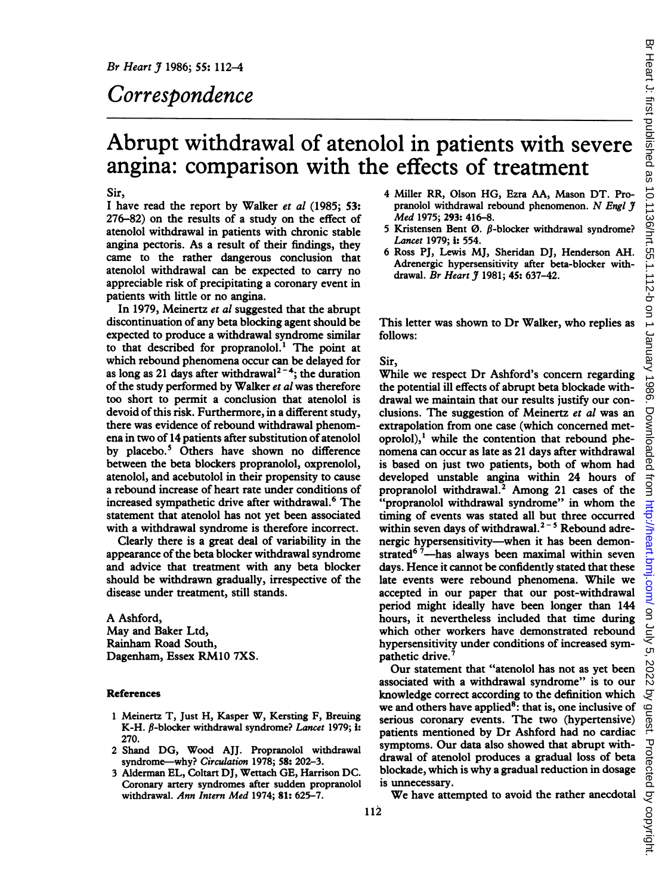## Correspondence

# Abrupt withdrawal of atenolol in patients with severe angina: comparison with the effects of treatment

## Sir,

<sup>I</sup> have read the report by Walker et al (1985; 53: 276-82) on the results of a study on the effect of atenolol withdrawal in patients with chronic stable angina pectoris. As a result of their findings, they came to the rather dangerous conclusion that atenolol withdrawal can be expected to carry no appreciable risk of precipitating a coronary event in patients with little or no angina.

In 1979, Meinertz et al suggested that the abrupt discontinuation of any beta blocking agent should be expected to produce a withdrawal syndrome similar to that described for propranolol.' The point at which rebound phenomena occur can be delayed for as long as 21 days after withdrawal<sup>2-4</sup>; the duration of the study performed by Walker et al was therefore too short to permit a conclusion that atenolol is devoid of this risk. Furthermore, in a different study, there was evidence of rebound withdrawal phenomena in two of 14 patients after substitution of atenolol by placebo.5 Others have shown no difference between the beta blockers propranolol, oxprenolol, atenolol, and acebutolol in their propensity to cause a rebound increase of heart rate under conditions of increased sympathetic drive after withdrawal.<sup>6</sup> The statement that atenolol has not yet been associated with a withdrawal syndrome is therefore incorrect.

Clearly there is a great deal of variability in the appearance of the beta blocker withdrawal syndrome and advice that treatment with any beta blocker should be withdrawn gradually, irrespective of the disease under treatment, still stands.

A Ashford, May and Baker Ltd, Rainham Road South, Dagenham, Essex RM1O 7XS.

#### References

- <sup>1</sup> Meinertz T, Just H, Kasper W, Kersting F, Breuig K-H.  $\beta$ -blocker withdrawal syndrome? Lancet 1979; i: 270.
- 2 Shand DG, Wood AJJ. Propranolol withdrawal syndrome-why? Circulation 1978; 58: 202-3.
- <sup>3</sup> Alderman EL, Coltart DJ, Wettach GE, Harrison DC. Coronary artery syndromes after sudden propranolol withdrawal. Ann Intern Med 1974; 81: 625-7.
- 4 Miller RR, Olson HG, Ezra AA, Mason DT. Propranolol withdrawal rebound phenomenon. N Engl 9 Med 1975; 293: 416-8.
- 5 Kristensen Bent Ø.  $\beta$ -blocker withdrawal syndrome? Lancet 1979; i: 554.
- 6 Ross PJ, Lewis MJ, Sheridan DJ, Henderson AH. Adrenergic hypersensitivity after beta-blocker withdrawal. Br Heart J 1981; 45: 637-42.

This letter was shown to Dr Walker, who replies as follows:

### Sir,

While we respect Dr Ashford's concern regarding the potential ill effects of abrupt beta blockade withdrawal we maintain that our results justify our conclusions. The suggestion of Meinertz et al was an extrapolation from one case (which concerned metoprolol), $<sup>1</sup>$  while the contention that rebound phe-</sup> nomena can occur as late as 21 days after withdrawal is based on just two patients, both of whom had developed unstable angina within 24 hours of propranolol withdrawal.2 Among 21 cases of the "propranolol withdrawal syndrome" in whom the timing of events was stated all but three occurred within seven days of withdrawal. $2-5$  Rebound adrenergic hypersensitivity-when it has been demonstrated<sup>6  $\bar{7}$ -has always been maximal within seven</sup> days. Hence it cannot be confidently stated that these late events were rebound phenomena. While we accepted in our paper that our post-withdrawal period might ideally have been longer than 144 hours, it nevertheless included that time during which other workers have demonstrated rebound hypersensitivity under conditions of increased sympathetic drive.

Our statement that "atenolol has not as yet been associated with a withdrawal syndrome" is to our knowledge correct according to the definition which we and others have applied<sup>8</sup>: that is, one inclusive of serious coronary events. The two (hypertensive) patients mentioned by Dr Ashford had no cardiac symptoms. Our data also showed that abrupt withdrawal of atenolol produces a gradual loss of beta blockade, which is why a gradual reduction in dosage is unnecessary.

We have attempted to avoid the rather anecdotal